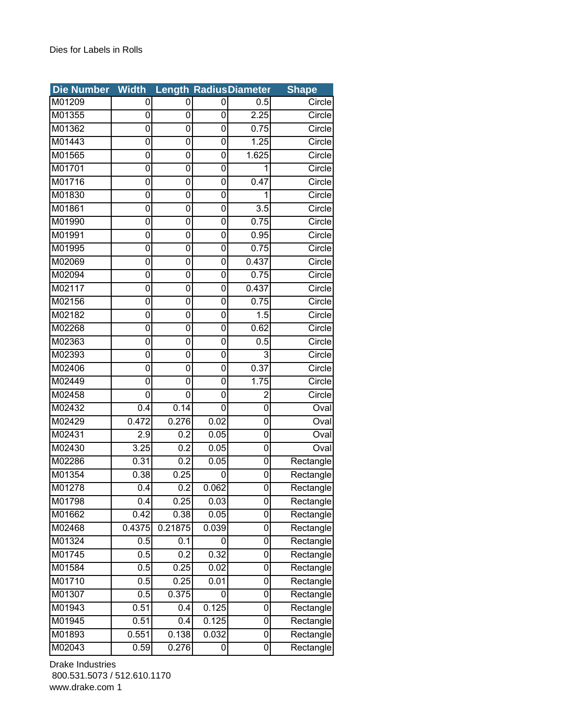| <b>Die Number</b> | <b>Width</b>     |         |                | <b>Length RadiusDiameter</b> | <b>Shape</b> |
|-------------------|------------------|---------|----------------|------------------------------|--------------|
| M01209            | 0                | 0       | 0              | 0.5                          | Circle       |
| M01355            | 0                | 0       | 0              | 2.25                         | Circle       |
| M01362            | 0                | 0       | 0              | 0.75                         | Circle       |
| M01443            | 0                | 0       | 0              | 1.25                         | Circle       |
| M01565            | 0                | 0       | 0              | 1.625                        | Circle       |
| M01701            | 0                | 0       | 0              | 1                            | Circle       |
| M01716            | 0                | 0       | 0              | 0.47                         | Circle       |
| M01830            | 0                | 0       | 0              | 1                            | Circle       |
| M01861            | 0                | 0       | 0              | $\overline{3.5}$             | Circle       |
| M01990            | 0                | 0       | 0              | 0.75                         | Circle       |
| M01991            | 0                | 0       | $\overline{0}$ | 0.95                         | Circle       |
| M01995            | 0                | 0       | 0              | 0.75                         | Circle       |
| M02069            | 0                | 0       | 0              | 0.437                        | Circle       |
| M02094            | 0                | 0       | 0              | 0.75                         | Circle       |
| M02117            | 0                | 0       | 0              | 0.437                        | Circle       |
| M02156            | 0                | 0       | 0              | 0.75                         | Circle       |
| M02182            | 0                | 0       | 0              | 1.5                          | Circle       |
| M02268            | 0                | 0       | 0              | 0.62                         | Circle       |
| M02363            | 0                | 0       | 0              | 0.5                          | Circle       |
| M02393            | 0                | 0       | 0              | 3                            | Circle       |
| M02406            | 0                | 0       | 0              | 0.37                         | Circle       |
| M02449            | 0                | 0       | 0              | 1.75                         | Circle       |
| M02458            | 0                | 0       | 0              | $\overline{2}$               | Circle       |
| M02432            | 0.4              | 0.14    | 0              | 0                            | Oval         |
| M02429            | 0.472            | 0.276   | 0.02           | 0                            | Oval         |
| M02431            | 2.9              | 0.2     | 0.05           | 0                            | Oval         |
| M02430            | 3.25             | 0.2     | 0.05           | 0                            | Oval         |
| M02286            | 0.31             | 0.2     | 0.05           | 0                            | Rectangle    |
| M01354            | 0.38             | 0.25    | 0              | 0                            | Rectangle    |
| M01278            | $\overline{0.4}$ | 0.2     | 0.062          | 0                            | Rectangle    |
| M01798            | 0.4              | 0.25    | 0.03           | 0                            | Rectangle    |
| M01662            | 0.42             | 0.38    | 0.05           | 0                            | Rectangle    |
| M02468            | 0.4375           | 0.21875 | 0.039          | 0                            | Rectangle    |
| M01324            | 0.5              | 0.1     | 0              | 0                            | Rectangle    |
| M01745            | 0.5              | 0.2     | 0.32           | 0                            | Rectangle    |
| M01584            | 0.5              | 0.25    | 0.02           | 0                            | Rectangle    |
| M01710            | 0.5              | 0.25    | 0.01           | 0                            | Rectangle    |
| M01307            | 0.5              | 0.375   | 0              | 0                            | Rectangle    |
| M01943            | 0.51             | 0.4     | 0.125          | 0                            | Rectangle    |
| M01945            | 0.51             | 0.4     | 0.125          | 0                            | Rectangle    |
| M01893            | 0.551            | 0.138   | 0.032          | 0                            | Rectangle    |
| M02043            | 0.59             | 0.276   | 0              | 0                            | Rectangle    |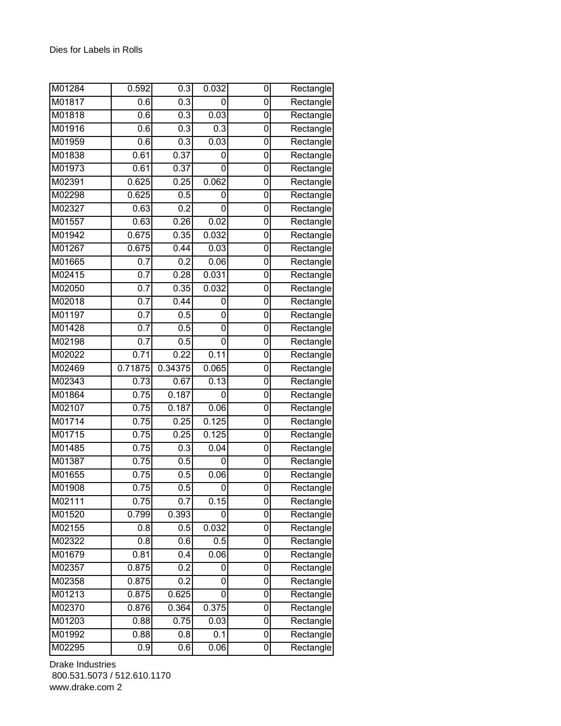| M01284 | 0.592            | 0.3              | 0.032 | 0              | Rectangle |
|--------|------------------|------------------|-------|----------------|-----------|
| M01817 | 0.6              | $\overline{0.3}$ | 0     | 0              | Rectangle |
| M01818 | 0.6              | 0.3              | 0.03  | 0              | Rectangle |
| M01916 | 0.6              | 0.3              | 0.3   | 0              | Rectangle |
| M01959 | 0.6              | 0.3              | 0.03  | 0              | Rectangle |
| M01838 | 0.61             | 0.37             | 0     | 0              | Rectangle |
| M01973 | 0.61             | 0.37             | 0     | 0              | Rectangle |
| M02391 | 0.625            | 0.25             | 0.062 | 0              | Rectangle |
| M02298 | 0.625            | 0.5              | 0     | 0              | Rectangle |
| M02327 | 0.63             | 0.2              | 0     | 0              | Rectangle |
| M01557 | 0.63             | 0.26             | 0.02  | 0              | Rectangle |
| M01942 | 0.675            | 0.35             | 0.032 | 0              | Rectangle |
| M01267 | 0.675            | 0.44             | 0.03  | 0              | Rectangle |
| M01665 | 0.7              | 0.2              | 0.06  | $\overline{0}$ | Rectangle |
| M02415 | 0.7              | 0.28             | 0.031 | 0              | Rectangle |
| M02050 | $\overline{0.7}$ | 0.35             | 0.032 | 0              | Rectangle |
| M02018 | 0.7              | 0.44             | 0     | 0              | Rectangle |
| M01197 | 0.7              | 0.5              | 0     | 0              | Rectangle |
| M01428 | $\overline{0.7}$ | 0.5              | 0     | 0              | Rectangle |
| M02198 | 0.7              | 0.5              | 0     | 0              | Rectangle |
| M02022 | 0.71             | 0.22             | 0.11  | 0              | Rectangle |
| M02469 | 0.71875          | 0.34375          | 0.065 | 0              | Rectangle |
| M02343 | 0.73             | 0.67             | 0.13  | 0              | Rectangle |
| M01864 | 0.75             | 0.187            | 0     | 0              | Rectangle |
| M02107 | 0.75             | 0.187            | 0.06  | 0              | Rectangle |
| M01714 | 0.75             | 0.25             | 0.125 | 0              | Rectangle |
| M01715 | 0.75             | 0.25             | 0.125 | 0              | Rectangle |
| M01485 | 0.75             | 0.3              | 0.04  | 0              | Rectangle |
| M01387 | 0.75             | 0.5              | 0     | 0              | Rectangle |
| M01655 | 0.75             | 0.5              | 0.06  | 0              | Rectangle |
| M01908 | 0.75             | 0.5              | 0     | 0              | Rectangle |
| M02111 | 0.75             | 0.7              | 0.15  | 0              | Rectangle |
| M01520 | 0.799            | 0.393            | 0     | 0              | Rectangle |
| M02155 | 0.8              | 0.5              | 0.032 | 0              | Rectangle |
| M02322 | 0.8              | 0.6              | 0.5   | 0              | Rectangle |
| M01679 | 0.81             | 0.4              | 0.06  | 0              | Rectangle |
| M02357 | 0.875            | 0.2              | 0     | 0              | Rectangle |
| M02358 | 0.875            | 0.2              | 0     | 0              | Rectangle |
| M01213 | 0.875            | 0.625            | 0     | 0              | Rectangle |
| M02370 | 0.876            | 0.364            | 0.375 | $\overline{0}$ | Rectangle |
| M01203 | 0.88             | 0.75             | 0.03  | 0              | Rectangle |
| M01992 | 0.88             | 0.8              | 0.1   | 0              | Rectangle |
| M02295 | $\overline{0.9}$ | 0.6              | 0.06  | 0              | Rectangle |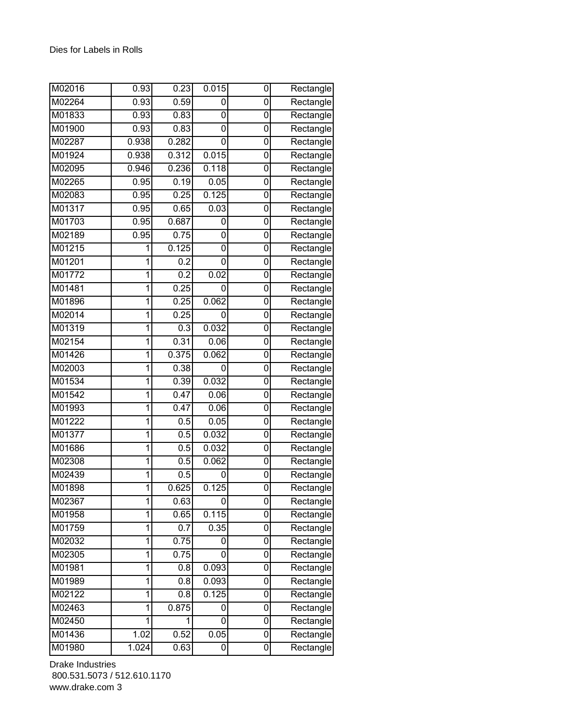| M02016 | 0.93  | 0.23             | 0.015 | 0 | Rectangle |
|--------|-------|------------------|-------|---|-----------|
| M02264 | 0.93  | 0.59             | 0     | 0 | Rectangle |
| M01833 | 0.93  | 0.83             | 0     | 0 | Rectangle |
| M01900 | 0.93  | 0.83             | 0     | 0 | Rectangle |
| M02287 | 0.938 | 0.282            | 0     | 0 | Rectangle |
| M01924 | 0.938 | 0.312            | 0.015 | 0 | Rectangle |
| M02095 | 0.946 | 0.236            | 0.118 | 0 | Rectangle |
| M02265 | 0.95  | 0.19             | 0.05  | 0 | Rectangle |
| M02083 | 0.95  | 0.25             | 0.125 | 0 | Rectangle |
| M01317 | 0.95  | 0.65             | 0.03  | 0 | Rectangle |
| M01703 | 0.95  | 0.687            | 0     | 0 | Rectangle |
| M02189 | 0.95  | 0.75             | 0     | 0 | Rectangle |
| M01215 | 1     | 0.125            | 0     | 0 | Rectangle |
| M01201 | 1     | $\overline{0.2}$ | 0     | 0 | Rectangle |
| M01772 | 1     | 0.2              | 0.02  | 0 | Rectangle |
| M01481 | 1     | 0.25             | 0     | 0 | Rectangle |
| M01896 | 1     | 0.25             | 0.062 | 0 | Rectangle |
| M02014 | 1     | 0.25             | 0     | 0 | Rectangle |
| M01319 | 1     | $\overline{0.3}$ | 0.032 | 0 | Rectangle |
| M02154 | 1     | 0.31             | 0.06  | 0 | Rectangle |
| M01426 | 1     | 0.375            | 0.062 | 0 | Rectangle |
| M02003 | 1     | 0.38             | 0     | 0 | Rectangle |
| M01534 | 1     | 0.39             | 0.032 | 0 | Rectangle |
| M01542 | 1     | 0.47             | 0.06  | 0 | Rectangle |
| M01993 | 1     | 0.47             | 0.06  | 0 | Rectangle |
| M01222 | 1     | 0.5              | 0.05  | 0 | Rectangle |
| M01377 | 1     | 0.5              | 0.032 | 0 | Rectangle |
| M01686 | 1     | 0.5              | 0.032 | 0 | Rectangle |
| M02308 | 1     | 0.5              | 0.062 | 0 | Rectangle |
| M02439 | 1     | 0.5              | 0     | 0 | Rectangle |
| M01898 | 1     | 0.625            | 0.125 | 0 | Rectangle |
| M02367 | 1     | 0.63             | 0     | 0 | Rectangle |
| M01958 | 1     | 0.65             | 0.115 | 0 | Rectangle |
| M01759 | 1     | 0.7              | 0.35  | 0 | Rectangle |
| M02032 | 1     | 0.75             | 0     | 0 | Rectangle |
| M02305 | 1     | 0.75             | 0     | 0 | Rectangle |
| M01981 | 1     | 0.8              | 0.093 | 0 | Rectangle |
| M01989 | 1     | 0.8              | 0.093 | 0 | Rectangle |
| M02122 | 1     | 0.8              | 0.125 | 0 | Rectangle |
| M02463 | 1     | 0.875            | 0     | 0 | Rectangle |
| M02450 | 1     | 1                | 0     | 0 | Rectangle |
| M01436 | 1.02  | 0.52             | 0.05  | 0 | Rectangle |
| M01980 | 1.024 | 0.63             | 0     | 0 | Rectangle |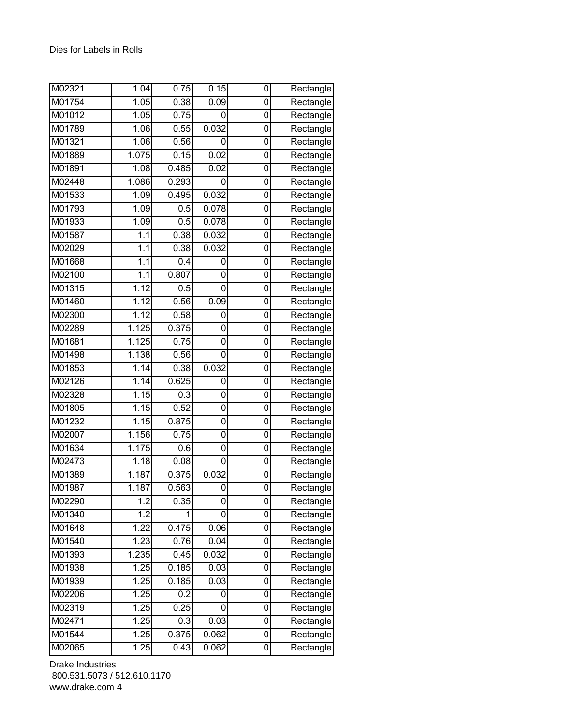| M02321 | 1.04             | 0.75  | 0.15  | 0              | Rectangle |
|--------|------------------|-------|-------|----------------|-----------|
| M01754 | 1.05             | 0.38  | 0.09  | 0              | Rectangle |
| M01012 | 1.05             | 0.75  | 0     | 0              | Rectangle |
| M01789 | 1.06             | 0.55  | 0.032 | 0              | Rectangle |
| M01321 | 1.06             | 0.56  | 0     | 0              | Rectangle |
| M01889 | 1.075            | 0.15  | 0.02  | 0              | Rectangle |
| M01891 | 1.08             | 0.485 | 0.02  | 0              | Rectangle |
| M02448 | 1.086            | 0.293 | 0     | 0              | Rectangle |
| M01533 | 1.09             | 0.495 | 0.032 | 0              | Rectangle |
| M01793 | 1.09             | 0.5   | 0.078 | 0              | Rectangle |
| M01933 | 1.09             | 0.5   | 0.078 | 0              | Rectangle |
| M01587 | $\overline{1.1}$ | 0.38  | 0.032 | 0              | Rectangle |
| M02029 | 1.1              | 0.38  | 0.032 | 0              | Rectangle |
| M01668 | 1.1              | 0.4   | 0     | $\overline{0}$ | Rectangle |
| M02100 | 1.1              | 0.807 | 0     | 0              | Rectangle |
| M01315 | 1.12             | 0.5   | 0     | 0              | Rectangle |
| M01460 | 1.12             | 0.56  | 0.09  | 0              | Rectangle |
| M02300 | 1.12             | 0.58  | 0     | 0              | Rectangle |
| M02289 | 1.125            | 0.375 | 0     | 0              | Rectangle |
| M01681 | 1.125            | 0.75  | 0     | 0              | Rectangle |
| M01498 | 1.138            | 0.56  | 0     | 0              | Rectangle |
| M01853 | 1.14             | 0.38  | 0.032 | 0              | Rectangle |
| M02126 | 1.14             | 0.625 | 0     | 0              | Rectangle |
| M02328 | 1.15             | 0.3   | 0     | 0              | Rectangle |
| M01805 | 1.15             | 0.52  | 0     | 0              | Rectangle |
| M01232 | 1.15             | 0.875 | 0     | 0              | Rectangle |
| M02007 | 1.156            | 0.75  | 0     | 0              | Rectangle |
| M01634 | 1.175            | 0.6   | 0     | 0              | Rectangle |
| M02473 | 1.18             | 0.08  | 0     | 0              | Rectangle |
| M01389 | 1.187            | 0.375 | 0.032 | 0              | Rectangle |
| M01987 | 1.187            | 0.563 | 0     | 0              | Rectangle |
| M02290 | 1.2              | 0.35  | 0     | 0              | Rectangle |
| M01340 | 1.2              | 1     | 0     | 0              | Rectangle |
| M01648 | 1.22             | 0.475 | 0.06  | 0              | Rectangle |
| M01540 | 1.23             | 0.76  | 0.04  | 0              | Rectangle |
| M01393 | 1.235            | 0.45  | 0.032 | 0              | Rectangle |
| M01938 | 1.25             | 0.185 | 0.03  | 0              | Rectangle |
| M01939 | 1.25             | 0.185 | 0.03  | 0              | Rectangle |
| M02206 | 1.25             | 0.2   | 0     | 0              | Rectangle |
| M02319 | 1.25             | 0.25  | 0     | $\overline{0}$ | Rectangle |
| M02471 | 1.25             | 0.3   | 0.03  | 0              | Rectangle |
| M01544 | 1.25             | 0.375 | 0.062 | 0              | Rectangle |
| M02065 | 1.25             | 0.43  | 0.062 | 0              | Rectangle |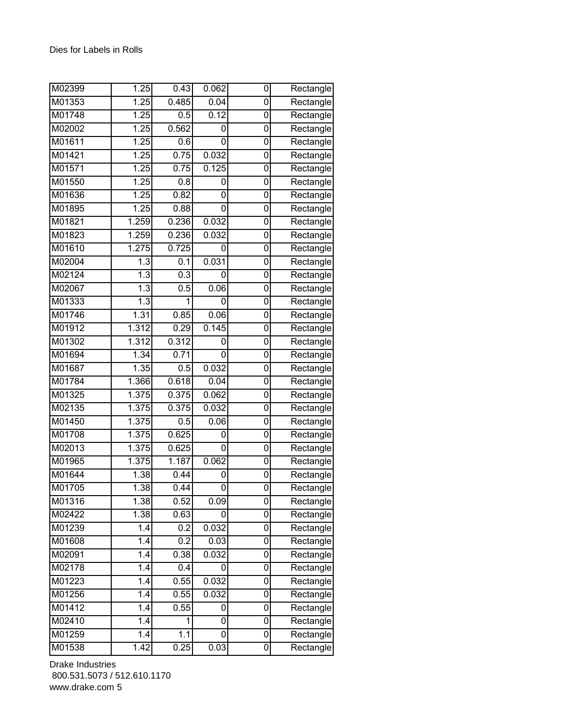| M02399 | 1.25              | 0.43  | 0.062 | 0 | Rectangle                        |
|--------|-------------------|-------|-------|---|----------------------------------|
| M01353 | 1.25              | 0.485 | 0.04  | 0 | Rectangle                        |
| M01748 | 1.25              | 0.5   | 0.12  | 0 | Rectangle                        |
| M02002 | 1.25              | 0.562 | 0     | 0 | Rectangle                        |
| M01611 | 1.25              | 0.6   | 0     | 0 | Rectangle                        |
| M01421 | 1.25              | 0.75  | 0.032 | 0 | Rectangle                        |
| M01571 | 1.25              | 0.75  | 0.125 | 0 | Rectangle                        |
| M01550 | 1.25              | 0.8   | 0     | 0 | Rectangle                        |
| M01636 | 1.25              | 0.82  | 0     | 0 | Rectangle                        |
| M01895 | 1.25              | 0.88  | 0     | 0 | Rectangle                        |
| M01821 | 1.259             | 0.236 | 0.032 | 0 | Rectangle                        |
| M01823 | 1.259             | 0.236 | 0.032 | 0 | Rectangle                        |
| M01610 | 1.275             | 0.725 | 0     | 0 | Rectangle                        |
| M02004 | 1.3               | 0.1   | 0.031 | 0 | Rectangle                        |
| M02124 | 1.3               | 0.3   | 0     | 0 | Rectangle                        |
| M02067 | $\overline{1.3}$  | 0.5   | 0.06  | 0 | Rectangle                        |
| M01333 | 1.3               | 1     | 0     | 0 | Rectangle                        |
| M01746 | 1.31              | 0.85  | 0.06  | 0 | Rectangle                        |
| M01912 | 1.312             | 0.29  | 0.145 | 0 | Rectangle                        |
| M01302 | 1.312             | 0.312 | 0     | 0 | Rectangle                        |
| M01694 | 1.34              | 0.71  | 0     | 0 | Rectangle                        |
| M01687 | 1.35              | 0.5   | 0.032 | 0 | Rectangle                        |
| M01784 | 1.366             | 0.618 | 0.04  | 0 | Rectangle                        |
| M01325 | 1.375             | 0.375 | 0.062 | 0 | Rectangle                        |
| M02135 | 1.375             | 0.375 | 0.032 | 0 | Rectangle                        |
| M01450 | 1.375             | 0.5   | 0.06  | 0 | $\overline{\mathsf{R}}$ ectangle |
| M01708 | 1.375             | 0.625 | 0     | 0 | Rectangle                        |
| M02013 | 1.375             | 0.625 | 0     | 0 | $\overline{\mathsf{R}}$ ectangle |
| M01965 | 1.375             | 1.187 | 0.062 | 0 | Rectangle                        |
| M01644 | 1.38              | 0.44  | 0     | 0 | Rectangle                        |
| M01705 | 1.38              | 0.44  | 0     | 0 | Rectangle                        |
| M01316 | 1.38              | 0.52  | 0.09  | 0 | Rectangle                        |
| M02422 | 1.38              | 0.63  | 0     | 0 | Rectangle                        |
| M01239 | 1.4               | 0.2   | 0.032 | 0 | Rectangle                        |
| M01608 | 1.4               | 0.2   | 0.03  | 0 | Rectangle                        |
| M02091 | 1.4               | 0.38  | 0.032 | 0 | Rectangle                        |
| M02178 | $\overline{1}$ .4 | 0.4   | 0     | 0 | Rectangle                        |
| M01223 | 1.4               | 0.55  | 0.032 | 0 | Rectangle                        |
| M01256 | 1.4               | 0.55  | 0.032 | 0 | Rectangle                        |
| M01412 | 1.4               | 0.55  | 0     | 0 | $\overline{\mathsf{R}}$ ectangle |
| M02410 | 1.4               | 1     | 0     | 0 | Rectangle                        |
| M01259 | 1.4               | 1.1   | 0     | 0 | Rectangle                        |
| M01538 | 1.42              | 0.25  | 0.03  | 0 | Rectangle                        |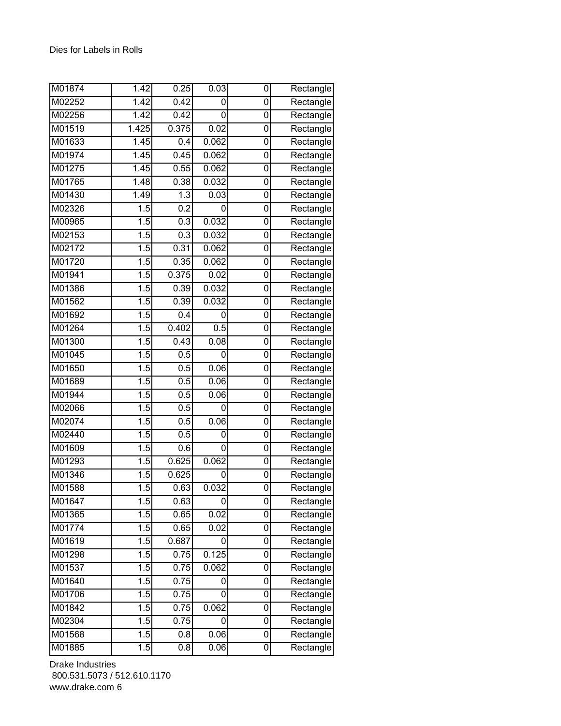| M01874 | 1.42             | 0.25             | 0.03  | 0              | Rectangle                        |
|--------|------------------|------------------|-------|----------------|----------------------------------|
| M02252 | 1.42             | 0.42             | 0     | 0              | Rectangle                        |
| M02256 | 1.42             | 0.42             | 0     | 0              | Rectangle                        |
| M01519 | 1.425            | 0.375            | 0.02  | 0              | Rectangle                        |
| M01633 | 1.45             | 0.4              | 0.062 | 0              | Rectangle                        |
| M01974 | 1.45             | 0.45             | 0.062 | 0              | Rectangle                        |
| M01275 | 1.45             | 0.55             | 0.062 | 0              | Rectangle                        |
| M01765 | 1.48             | 0.38             | 0.032 | 0              | Rectangle                        |
| M01430 | 1.49             | $\overline{1.3}$ | 0.03  | 0              | Rectangle                        |
| M02326 | 1.5              | 0.2              | 0     | 0              | Rectangle                        |
| M00965 | 1.5              | 0.3              | 0.032 | 0              | Rectangle                        |
| M02153 | $\overline{1.5}$ | 0.3              | 0.032 | 0              | Rectangle                        |
| M02172 | 1.5              | 0.31             | 0.062 | 0              | Rectangle                        |
| M01720 | 1.5              | 0.35             | 0.062 | $\overline{0}$ | Rectangle                        |
| M01941 | 1.5              | 0.375            | 0.02  | 0              | Rectangle                        |
| M01386 | 1.5              | 0.39             | 0.032 | 0              | Rectangle                        |
| M01562 | 1.5              | 0.39             | 0.032 | 0              | Rectangle                        |
| M01692 | 1.5              | 0.4              | 0     | 0              | Rectangle                        |
| M01264 | $\overline{1.5}$ | 0.402            | 0.5   | 0              | Rectangle                        |
| M01300 | 1.5              | 0.43             | 0.08  | 0              | Rectangle                        |
| M01045 | 1.5              | 0.5              | 0     | $\overline{0}$ | Rectangle                        |
| M01650 | 1.5              | 0.5              | 0.06  | 0              | Rectangle                        |
| M01689 | 1.5              | 0.5              | 0.06  | 0              | Rectangle                        |
| M01944 | 1.5              | 0.5              | 0.06  | 0              | Rectangle                        |
| M02066 | 1.5              | 0.5              | 0     | 0              | Rectangle                        |
| M02074 | $\overline{1.5}$ | 0.5              | 0.06  | 0              | $\overline{\mathsf{R}}$ ectangle |
| M02440 | 1.5              | 0.5              | 0     | 0              | Rectangle                        |
| M01609 | 1.5              | 0.6              | 0     | 0              | Rectangle                        |
| M01293 | 1.5              | 0.625            | 0.062 | 0              | Rectangle                        |
| M01346 | 1.5              | 0.625            | 0     | 0              | Rectangle                        |
| M01588 | 1.5              | 0.63             | 0.032 | 0              | Rectangle                        |
| M01647 | 1.5              | 0.63             | 0     | 0              | Rectangle                        |
| M01365 | $\overline{1.5}$ | 0.65             | 0.02  | 0              | Rectangle                        |
| M01774 | 1.5              | 0.65             | 0.02  | 0              | Rectangle                        |
| M01619 | 1.5              | 0.687            | 0     | $\mathbf 0$    | Rectangle                        |
| M01298 | 1.5              | 0.75             | 0.125 | 0              | Rectangle                        |
| M01537 | 1.5              | 0.75             | 0.062 | 0              | Rectangle                        |
| M01640 | $\overline{1.5}$ | 0.75             | 0     | 0              | Rectangle                        |
| M01706 | 1.5              | 0.75             | 0     | 0              | Rectangle                        |
| M01842 | 1.5              | 0.75             | 0.062 | $\overline{0}$ | Rectangle                        |
| M02304 | 1.5              | 0.75             | 0     | 0              | Rectangle                        |
| M01568 | 1.5              | 0.8              | 0.06  | 0              | Rectangle                        |
| M01885 | 1.5              | 0.8              | 0.06  | $\overline{0}$ | Rectangle                        |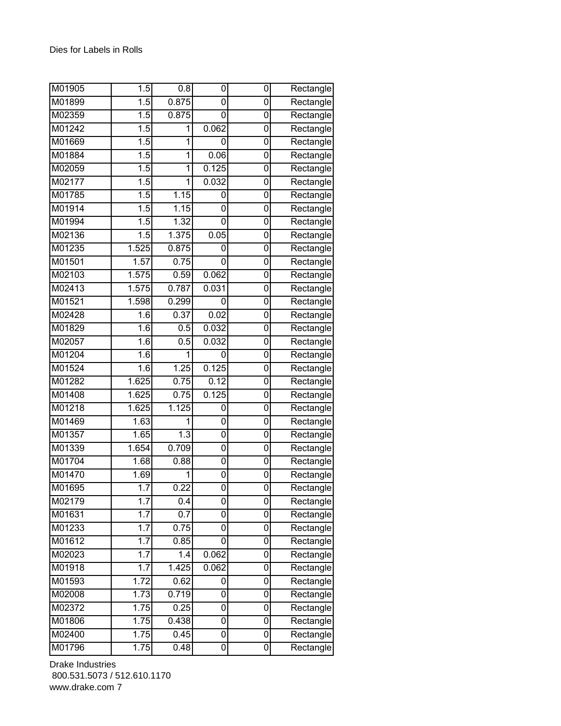| M01905 | 1.5              | 0.8              | 0     | 0              | Rectangle                        |
|--------|------------------|------------------|-------|----------------|----------------------------------|
| M01899 | 1.5              | 0.875            | 0     | 0              | Rectangle                        |
| M02359 | 1.5              | 0.875            | 0     | 0              | Rectangle                        |
| M01242 | 1.5              | 1                | 0.062 | 0              | Rectangle                        |
| M01669 | 1.5              | 1                | 0     | 0              | Rectangle                        |
| M01884 | 1.5              | 1                | 0.06  | 0              | Rectangle                        |
| M02059 | $\overline{1.5}$ | 1                | 0.125 | 0              | $\overline{\mathsf{R}}$ ectangle |
| M02177 | 1.5              | 1                | 0.032 | 0              | Rectangle                        |
| M01785 | 1.5              | 1.15             | 0     | 0              | Rectangle                        |
| M01914 | 1.5              | 1.15             | 0     | 0              | Rectangle                        |
| M01994 | 1.5              | 1.32             | 0     | 0              | Rectangle                        |
| M02136 | 1.5              | 1.375            | 0.05  | 0              | Rectangle                        |
| M01235 | 1.525            | 0.875            | 0     | 0              | Rectangle                        |
| M01501 | 1.57             | 0.75             | 0     | 0              | Rectangle                        |
| M02103 | 1.575            | 0.59             | 0.062 | 0              | Rectangle                        |
| M02413 | 1.575            | 0.787            | 0.031 | 0              | Rectangle                        |
| M01521 | 1.598            | 0.299            | 0     | 0              | Rectangle                        |
| M02428 | 1.6              | 0.37             | 0.02  | 0              | Rectangle                        |
| M01829 | 1.6              | 0.5              | 0.032 | 0              | Rectangle                        |
| M02057 | 1.6              | 0.5              | 0.032 | 0              | Rectangle                        |
| M01204 | 1.6              | 1                | 0     | $\overline{0}$ | Rectangle                        |
| M01524 | 1.6              | 1.25             | 0.125 | 0              | Rectangle                        |
| M01282 | 1.625            | 0.75             | 0.12  | 0              | Rectangle                        |
| M01408 | 1.625            | 0.75             | 0.125 | 0              | Rectangle                        |
| M01218 | 1.625            | 1.125            | 0     | 0              | Rectangle                        |
| M01469 | 1.63             | 1                | 0     | 0              | $\overline{\mathsf{R}}$ ectangle |
| M01357 | 1.65             | $\overline{1.3}$ | 0     | 0              | Rectangle                        |
| M01339 | 1.654            | 0.709            | 0     | 0              | Rectangle                        |
| M01704 | 1.68             | 0.88             | 0     | 0              | Rectangle                        |
| M01470 | 1.69             | 1                | 0     | 0              | Rectangle                        |
| M01695 | $\overline{1.7}$ | 0.22             | 0     | $\Omega$       | Rectangle                        |
| M02179 | 1.7              | 0.4              | 0     | 0              | Rectangle                        |
| M01631 | 1.7              | $\overline{0.7}$ | 0     | 0              | Rectangle                        |
| M01233 | 1.7              | 0.75             | 0     | 0              | Rectangle                        |
| M01612 | 1.7              | 0.85             | 0     | 0              | Rectangle                        |
| M02023 | 1.7              | 1.4              | 0.062 | 0              | Rectangle                        |
| M01918 | 1.7              | 1.425            | 0.062 | 0              | Rectangle                        |
| M01593 | 1.72             | 0.62             | 0     | 0              | Rectangle                        |
| M02008 | 1.73             | 0.719            | 0     | 0              | Rectangle                        |
| M02372 | 1.75             | 0.25             | 0     | 0              | Rectangle                        |
| M01806 | 1.75             | 0.438            | 0     | 0              | Rectangle                        |
| M02400 | 1.75             | 0.45             | 0     | $\mathbf 0$    | Rectangle                        |
| M01796 | 1.75             | 0.48             | 0     | 0              | Rectangle                        |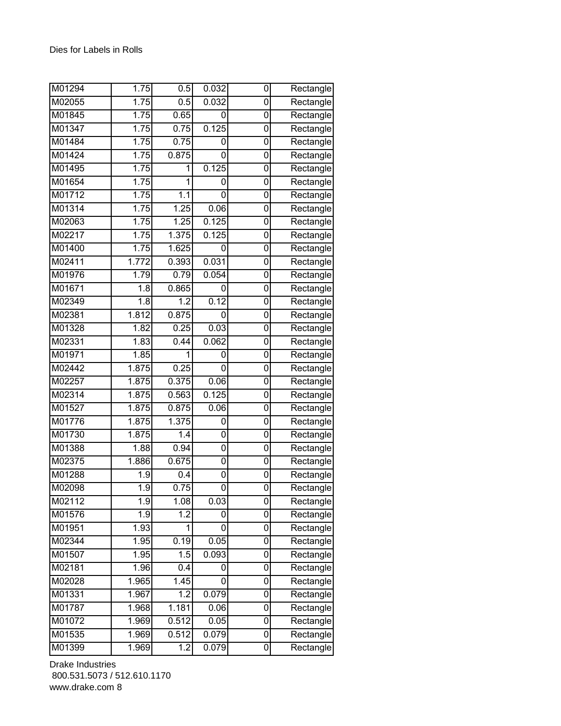| M01294 | 1.75  | 0.5              | 0.032 | 0              | Rectangle                        |
|--------|-------|------------------|-------|----------------|----------------------------------|
| M02055 | 1.75  | 0.5              | 0.032 | 0              | Rectangle                        |
| M01845 | 1.75  | 0.65             | 0     | 0              | Rectangle                        |
| M01347 | 1.75  | 0.75             | 0.125 | 0              | Rectangle                        |
| M01484 | 1.75  | 0.75             | 0     | 0              | Rectangle                        |
| M01424 | 1.75  | 0.875            | 0     | 0              | Rectangle                        |
| M01495 | 1.75  | 1                | 0.125 | 0              | Rectangle                        |
| M01654 | 1.75  | 1                | 0     | 0              | Rectangle                        |
| M01712 | 1.75  | 1.1              | 0     | 0              | Rectangle                        |
| M01314 | 1.75  | 1.25             | 0.06  | 0              | Rectangle                        |
| M02063 | 1.75  | 1.25             | 0.125 | 0              | Rectangle                        |
| M02217 | 1.75  | 1.375            | 0.125 | 0              | Rectangle                        |
| M01400 | 1.75  | 1.625            | 0     | 0              | Rectangle                        |
| M02411 | 1.772 | 0.393            | 0.031 | $\overline{0}$ | Rectangle                        |
| M01976 | 1.79  | 0.79             | 0.054 | 0              | Rectangle                        |
| M01671 | 1.8   | 0.865            | 0     | 0              | Rectangle                        |
| M02349 | 1.8   | 1.2              | 0.12  | 0              | Rectangle                        |
| M02381 | 1.812 | 0.875            | 0     | 0              | Rectangle                        |
| M01328 | 1.82  | 0.25             | 0.03  | 0              | Rectangle                        |
| M02331 | 1.83  | 0.44             | 0.062 | 0              | Rectangle                        |
| M01971 | 1.85  | 1                | 0     | 0              | Rectangle                        |
| M02442 | 1.875 | 0.25             | 0     | 0              | Rectangle                        |
| M02257 | 1.875 | 0.375            | 0.06  | 0              | Rectangle                        |
| M02314 | 1.875 | 0.563            | 0.125 | 0              | Rectangle                        |
| M01527 | 1.875 | 0.875            | 0.06  | 0              | Rectangle                        |
| M01776 | 1.875 | 1.375            | 0     | 0              | Rectangle                        |
| M01730 | 1.875 | 1.4              | 0     | 0              | Rectangle                        |
| M01388 | 1.88  | 0.94             | 0     | 0              | Rectangle                        |
| M02375 | 1.886 | 0.675            | 0     | 0              | Rectangle                        |
| M01288 | 1.9   | 0.4              | 0     | 0              | Rectangle                        |
| M02098 | 1.9   | 0.75             | 0     | 0              | Rectangle                        |
| M02112 | 1.9   | 1.08             | 0.03  | 0              | Rectangle                        |
| M01576 | 1.9   | $\overline{1.2}$ | 0     | 0              | Rectangle                        |
| M01951 | 1.93  | 1                | 0     | 0              | Rectangle                        |
| M02344 | 1.95  | 0.19             | 0.05  | $\mathbf 0$    | Rectangle                        |
| M01507 | 1.95  | 1.5              | 0.093 | 0              | Rectangle                        |
| M02181 | 1.96  | 0.4              | 0     | 0              | Rectangle                        |
| M02028 | 1.965 | 1.45             | 0     | 0              | $\overline{\mathsf{R}}$ ectangle |
| M01331 | 1.967 | 1.2              | 0.079 | 0              | Rectangle                        |
| M01787 | 1.968 | 1.181            | 0.06  | $\overline{0}$ | Rectangle                        |
| M01072 | 1.969 | 0.512            | 0.05  | 0              | Rectangle                        |
| M01535 | 1.969 | 0.512            | 0.079 | 0              | Rectangle                        |
| M01399 | 1.969 | 1.2              | 0.079 | 0              | Rectangle                        |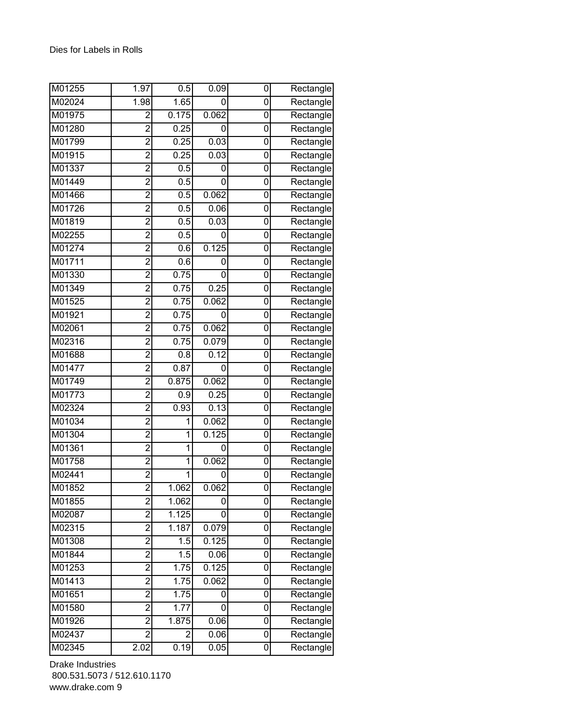| M01255 | 1.97                    | 0.5   | 0.09  | 0 | Rectangle                        |
|--------|-------------------------|-------|-------|---|----------------------------------|
| M02024 | 1.98                    | 1.65  | 0     | 0 | Rectangle                        |
| M01975 | $\overline{2}$          | 0.175 | 0.062 | 0 | Rectangle                        |
| M01280 | $\overline{2}$          | 0.25  | 0     | 0 | Rectangle                        |
| M01799 | $\overline{2}$          | 0.25  | 0.03  | 0 | Rectangle                        |
| M01915 | $\overline{c}$          | 0.25  | 0.03  | 0 | Rectangle                        |
| M01337 | $\overline{2}$          | 0.5   | 0     | 0 | Rectangle                        |
| M01449 | $\overline{2}$          | 0.5   | 0     | 0 | Rectangle                        |
| M01466 | $\overline{2}$          | 0.5   | 0.062 | 0 | $\overline{\mathsf{R}}$ ectangle |
| M01726 | $\overline{2}$          | 0.5   | 0.06  | 0 | Rectangle                        |
| M01819 | $\overline{2}$          | 0.5   | 0.03  | 0 | Rectangle                        |
| M02255 | $\overline{2}$          | 0.5   | 0     | 0 | Rectangle                        |
| M01274 | $\overline{2}$          | 0.6   | 0.125 | 0 | Rectangle                        |
| M01711 | $\overline{2}$          | 0.6   | 0     | 0 | Rectangle                        |
| M01330 | $\overline{2}$          | 0.75  | 0     | 0 | Rectangle                        |
| M01349 | $\overline{2}$          | 0.75  | 0.25  | 0 | Rectangle                        |
| M01525 | $\overline{c}$          | 0.75  | 0.062 | 0 | Rectangle                        |
| M01921 | $\overline{2}$          | 0.75  | 0     | 0 | $\overline{\mathsf{R}}$ ectangle |
| M02061 | $\overline{2}$          | 0.75  | 0.062 | 0 | Rectangle                        |
| M02316 | $\overline{2}$          | 0.75  | 0.079 | 0 | Rectangle                        |
| M01688 | $\overline{2}$          | 0.8   | 0.12  | 0 | Rectangle                        |
| M01477 | $\overline{2}$          | 0.87  | 0     | 0 | Rectangle                        |
| M01749 | $\overline{2}$          | 0.875 | 0.062 | 0 | Rectangle                        |
| M01773 | $\overline{2}$          | 0.9   | 0.25  | 0 | Rectangle                        |
| M02324 | $\overline{2}$          | 0.93  | 0.13  | 0 | Rectangle                        |
| M01034 | $\overline{2}$          | 1     | 0.062 | 0 | Rectangle                        |
| M01304 | $\overline{2}$          | 1     | 0.125 | 0 | Rectangle                        |
| M01361 | $\overline{2}$          | 1     | 0     | 0 | $\overline{\mathsf{R}}$ ectangle |
| M01758 | $\overline{2}$          | 1     | 0.062 | 0 | Rectangle                        |
| M02441 | $\overline{2}$          | 1     | 0     | 0 | Rectangle                        |
| M01852 | $\overline{2}$          | 1.062 | 0.062 | 0 | Rectangle                        |
| M01855 | $\overline{2}$          | 1.062 | 0     | 0 | Rectangle                        |
| M02087 | $\overline{2}$          | 1.125 | 0     | 0 | Rectangle                        |
| M02315 | $\overline{2}$          | 1.187 | 0.079 | 0 | Rectangle                        |
| M01308 | $\overline{2}$          | 1.5   | 0.125 | 0 | Rectangle                        |
| M01844 | $\overline{2}$          | 1.5   | 0.06  | 0 | Rectangle                        |
| M01253 | $\overline{2}$          | 1.75  | 0.125 | 0 | Rectangle                        |
| M01413 | $\overline{2}$          | 1.75  | 0.062 | 0 | Rectangle                        |
| M01651 | $\overline{\mathbf{c}}$ | 1.75  | 0     | 0 | Rectangle                        |
| M01580 | $\overline{2}$          | 1.77  | 0     | 0 | Rectangle                        |
| M01926 | $\overline{2}$          | 1.875 | 0.06  | 0 | Rectangle                        |
| M02437 | $\overline{2}$          | 2     | 0.06  | 0 | Rectangle                        |
| M02345 | 2.02                    | 0.19  | 0.05  | 0 | Rectangle                        |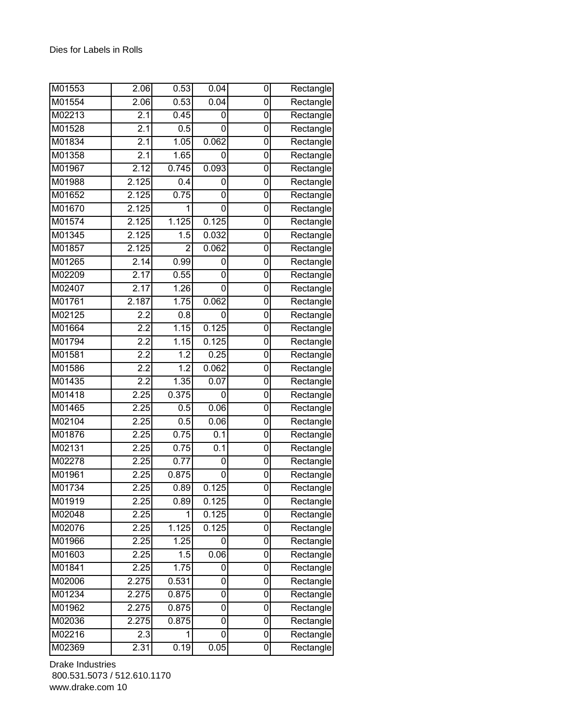| M01553 | 2.06             | 0.53              | 0.04  | 0              | Rectangle                        |
|--------|------------------|-------------------|-------|----------------|----------------------------------|
| M01554 | 2.06             | 0.53              | 0.04  | 0              | Rectangle                        |
| M02213 | 2.1              | 0.45              | 0     | 0              | Rectangle                        |
| M01528 | 2.1              | 0.5               | 0     | 0              | Rectangle                        |
| M01834 | 2.1              | 1.05              | 0.062 | 0              | Rectangle                        |
| M01358 | 2.1              | 1.65              | 0     | 0              | Rectangle                        |
| M01967 | 2.12             | 0.745             | 0.093 | 0              | Rectangle                        |
| M01988 | 2.125            | 0.4               | 0     | 0              | Rectangle                        |
| M01652 | 2.125            | 0.75              | 0     | 0              | Rectangle                        |
| M01670 | 2.125            | 1                 | 0     | 0              | Rectangle                        |
| M01574 | 2.125            | 1.125             | 0.125 | 0              | Rectangle                        |
| M01345 | 2.125            | 1.5               | 0.032 | 0              | Rectangle                        |
| M01857 | 2.125            | $\overline{2}$    | 0.062 | 0              | Rectangle                        |
| M01265 | 2.14             | 0.99              | 0     | 0              | Rectangle                        |
| M02209 | 2.17             | 0.55              | 0     | 0              | Rectangle                        |
| M02407 | 2.17             | 1.26              | 0     | 0              | Rectangle                        |
| M01761 | 2.187            | 1.75              | 0.062 | 0              | Rectangle                        |
| M02125 | 2.2              | 0.8               | 0     | 0              | Rectangle                        |
| M01664 | 2.2              | 1.15              | 0.125 | 0              | Rectangle                        |
| M01794 | 2.2              | 1.15              | 0.125 | 0              | Rectangle                        |
| M01581 | $\overline{2.2}$ | $\overline{1.2}$  | 0.25  | $\overline{0}$ | Rectangle                        |
| M01586 | 2.2              | 1.2               | 0.062 | 0              | Rectangle                        |
| M01435 | 2.2              | 1.35              | 0.07  | 0              | Rectangle                        |
| M01418 | 2.25             | 0.375             | 0     | 0              | Rectangle                        |
| M01465 | 2.25             | 0.5               | 0.06  | 0              | Rectangle                        |
| M02104 | 2.25             | 0.5               | 0.06  | 0              | Rectangle                        |
| M01876 | 2.25             | 0.75              | 0.1   | 0              | Rectangle                        |
| M02131 | 2.25             | 0.75              | 0.1   | 0              | $\overline{\mathsf{R}}$ ectangle |
| M02278 | 2.25             | 0.77              | 0     | 0              | Rectangle                        |
| M01961 | 2.25             | 0.875             | 0     | 0              | Rectangle                        |
| M01734 | 2.25             | 0.89              | 0.125 | $\Omega$       | Rectangle                        |
| M01919 | 2.25             | 0.89              | 0.125 | 0              | Rectangle                        |
| M02048 | 2.25             | 1                 | 0.125 | 0              | Rectangle                        |
| M02076 | 2.25             | 1.125             | 0.125 | 0              | Rectangle                        |
| M01966 | 2.25             | 1.25              | 0     | 0              | Rectangle                        |
| M01603 | 2.25             | 1.5               | 0.06  | 0              | Rectangle                        |
| M01841 | 2.25             | $\overline{1.75}$ | 0     | 0              | Rectangle                        |
| M02006 | 2.275            | 0.531             | 0     | 0              | Rectangle                        |
| M01234 | 2.275            | 0.875             | 0     | 0              | Rectangle                        |
| M01962 | 2.275            | 0.875             | 0     | 0              | Rectangle                        |
| M02036 | 2.275            | 0.875             | 0     | 0              | Rectangle                        |
| M02216 | 2.3              | 1                 | 0     | 0              | Rectangle                        |
| M02369 | 2.31             | 0.19              | 0.05  | 0              | Rectangle                        |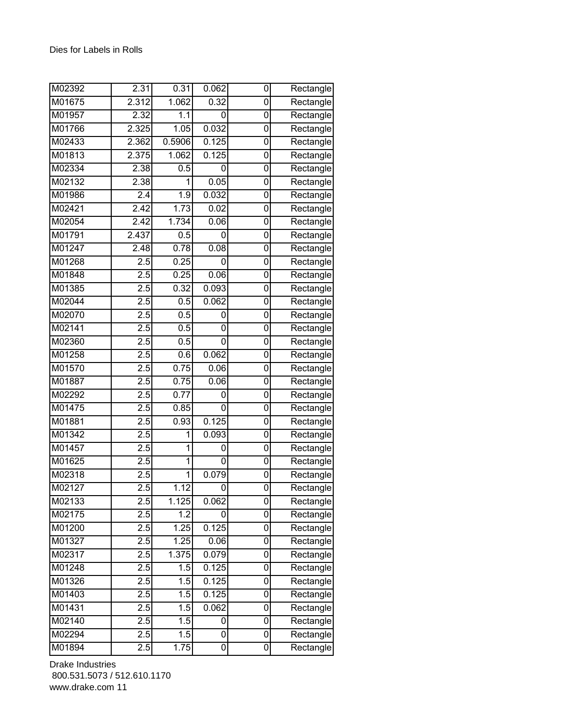| M02392 | 2.31             | 0.31              | 0.062 | 0              | Rectangle                        |
|--------|------------------|-------------------|-------|----------------|----------------------------------|
| M01675 | 2.312            | 1.062             | 0.32  | 0              | Rectangle                        |
| M01957 | 2.32             | 1.1               | 0     | 0              | Rectangle                        |
| M01766 | 2.325            | 1.05              | 0.032 | 0              | Rectangle                        |
| M02433 | 2.362            | 0.5906            | 0.125 | 0              | Rectangle                        |
| M01813 | 2.375            | 1.062             | 0.125 | 0              | Rectangle                        |
| M02334 | 2.38             | 0.5               | 0     | 0              | Rectangle                        |
| M02132 | 2.38             | 1                 | 0.05  | 0              | Rectangle                        |
| M01986 | $\overline{2.4}$ | 1.9               | 0.032 | 0              | Rectangle                        |
| M02421 | 2.42             | 1.73              | 0.02  | 0              | Rectangle                        |
| M02054 | 2.42             | 1.734             | 0.06  | 0              | Rectangle                        |
| M01791 | 2.437            | 0.5               | 0     | 0              | Rectangle                        |
| M01247 | 2.48             | 0.78              | 0.08  | 0              | Rectangle                        |
| M01268 | 2.5              | 0.25              | 0     | $\overline{0}$ | Rectangle                        |
| M01848 | 2.5              | 0.25              | 0.06  | 0              | Rectangle                        |
| M01385 | $\overline{2.5}$ | 0.32              | 0.093 | 0              | Rectangle                        |
| M02044 | 2.5              | 0.5               | 0.062 | 0              | Rectangle                        |
| M02070 | 2.5              | 0.5               | 0     | 0              | Rectangle                        |
| M02141 | $\overline{2.5}$ | 0.5               | 0     | 0              | Rectangle                        |
| M02360 | 2.5              | 0.5               | 0     | 0              | Rectangle                        |
| M01258 | $\overline{2.5}$ | 0.6               | 0.062 | 0              | Rectangle                        |
| M01570 | 2.5              | 0.75              | 0.06  | 0              | Rectangle                        |
| M01887 | 2.5              | 0.75              | 0.06  | 0              | Rectangle                        |
| M02292 | 2.5              | 0.77              | 0     | 0              | Rectangle                        |
| M01475 | 2.5              | 0.85              | 0     | 0              | Rectangle                        |
| M01881 | 2.5              | 0.93              | 0.125 | 0              | $\overline{\mathsf{R}}$ ectangle |
| M01342 | 2.5              | 1                 | 0.093 | 0              | Rectangle                        |
| M01457 | 2.5              | 1                 | 0     | 0              | Rectangle                        |
| M01625 | 2.5              | 1                 | 0     | 0              | Rectangle                        |
| M02318 | 2.5              | 1                 | 0.079 | 0              | Rectangle                        |
| M02127 | 2.5              | $\overline{1.12}$ | 0     | 0              | Rectangle                        |
| M02133 | 2.5              | 1.125             | 0.062 | 0              | Rectangle                        |
| M02175 | 2.5              | $\overline{1.2}$  | 0     | 0              | Rectangle                        |
| M01200 | 2.5              | 1.25              | 0.125 | 0              | Rectangle                        |
| M01327 | 2.5              | 1.25              | 0.06  | 0              | Rectangle                        |
| M02317 | 2.5              | 1.375             | 0.079 | 0              | Rectangle                        |
| M01248 | 2.5              | 1.5               | 0.125 | 0              | Rectangle                        |
| M01326 | 2.5              | 1.5               | 0.125 | 0              | Rectangle                        |
| M01403 | 2.5              | 1.5               | 0.125 | 0              | Rectangle                        |
| M01431 | 2.5              | 1.5               | 0.062 | $\overline{0}$ | Rectangle                        |
| M02140 | 2.5              | 1.5               | 0     | 0              | Rectangle                        |
| M02294 | 2.5              | 1.5               | 0     | 0              | Rectangle                        |
| M01894 | 2.5              | 1.75              | 0     | $\overline{0}$ | Rectangle                        |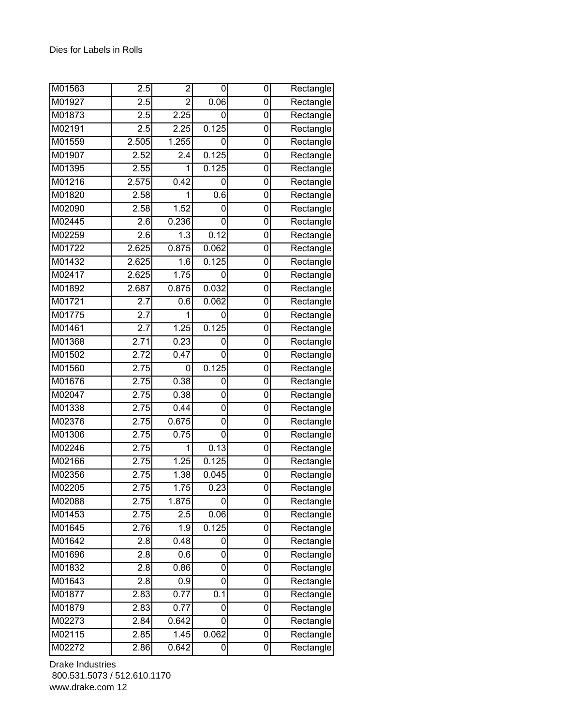| M01563               | 2.5              | $\overline{c}$   | 0     | 0              | Rectangle                        |
|----------------------|------------------|------------------|-------|----------------|----------------------------------|
| M01927               | 2.5              | $\overline{2}$   | 0.06  | 0              | Rectangle                        |
| M01873               | 2.5              | 2.25             | 0     | 0              | Rectangle                        |
| M02191               | 2.5              | 2.25             | 0.125 | 0              | Rectangle                        |
| M01559               | 2.505            | 1.255            | 0     | 0              | Rectangle                        |
| M01907               | 2.52             | 2.4              | 0.125 | 0              | Rectangle                        |
| M01395               | 2.55             | 1                | 0.125 | 0              | Rectangle                        |
| M01216               | 2.575            | 0.42             | 0     | 0              | Rectangle                        |
| M01820               | 2.58             | 1                | 0.6   | 0              | Rectangle                        |
| M02090               | 2.58             | 1.52             | 0     | 0              | Rectangle                        |
| M02445               | 2.6              | 0.236            | 0     | 0              | Rectangle                        |
| M02259               | 2.6              | 1.3              | 0.12  | 0              | Rectangle                        |
| M01722               | 2.625            | 0.875            | 0.062 | 0              | Rectangle                        |
| M01432               | 2.625            | $\overline{1.6}$ | 0.125 | $\overline{0}$ | Rectangle                        |
| M02417               | 2.625            | 1.75             | 0     | 0              | Rectangle                        |
| M01892               | 2.687            | 0.875            | 0.032 | 0              | Rectangle                        |
| M01721               | 2.7              | 0.6              | 0.062 | 0              | Rectangle                        |
| M01775               | 2.7              | 1                | 0     | 0              | Rectangle                        |
| M01461               | $\overline{2.7}$ | 1.25             | 0.125 | 0              | Rectangle                        |
| M01368               | 2.71             | 0.23             | 0     | 0              | Rectangle                        |
| M01502               | 2.72             | 0.47             | 0     | 0              | Rectangle                        |
| M01560               | 2.75             | 0                | 0.125 | 0              | Rectangle                        |
| M01676               | 2.75             | 0.38             | 0     | 0              | Rectangle                        |
| M02047               | 2.75             | 0.38             | 0     | 0              | Rectangle                        |
| M01338               | 2.75             | 0.44             | 0     | 0              | Rectangle                        |
| M02376               | 2.75             | 0.675            | 0     | 0              | $\overline{\mathsf{R}}$ ectangle |
| M01306               | 2.75             | 0.75             | 0     | 0              | Rectangle                        |
| M02246               | 2.75             | 1                | 0.13  | 0              | Rectangle                        |
| M02166               | 2.75             | 1.25             | 0.125 | 0              | Rectangle                        |
| M02356               | 2.75             | 1.38             | 0.045 | 0              | Rectangle                        |
| M02205               | 2.75             | 1.75             | 0.23  | 0              | Rectangle                        |
| M02088               | 2.75             | 1.875            | 0     | 0              | Rectangle                        |
| M01453               | 2.75             | 2.5              | 0.06  | 0              | Rectangle                        |
| M01645               | 2.76             | 1.9              | 0.125 | 0              | Rectangle                        |
| $\overline{M0164}$ 2 | 2.8              | 0.48             | 0     | 0              | Rectangle                        |
| M01696               | 2.8              | 0.6              | 0     | 0              | Rectangle                        |
| M01832               | 2.8              | 0.86             | 0     | 0              | Rectangle                        |
| M01643               | 2.8              | 0.9              | 0     | 0              | $\overline{\mathsf{R}}$ ectangle |
| M01877               | 2.83             | 0.77             | 0.1   | 0              | Rectangle                        |
| M01879               | 2.83             | 0.77             | 0     | $\overline{0}$ | Rectangle                        |
| M02273               | 2.84             | 0.642            | 0     | 0              | Rectangle                        |
| M02115               | 2.85             | 1.45             | 0.062 | 0              | Rectangle                        |
| M02272               | 2.86             | 0.642            | 0     | 0              | Rectangle                        |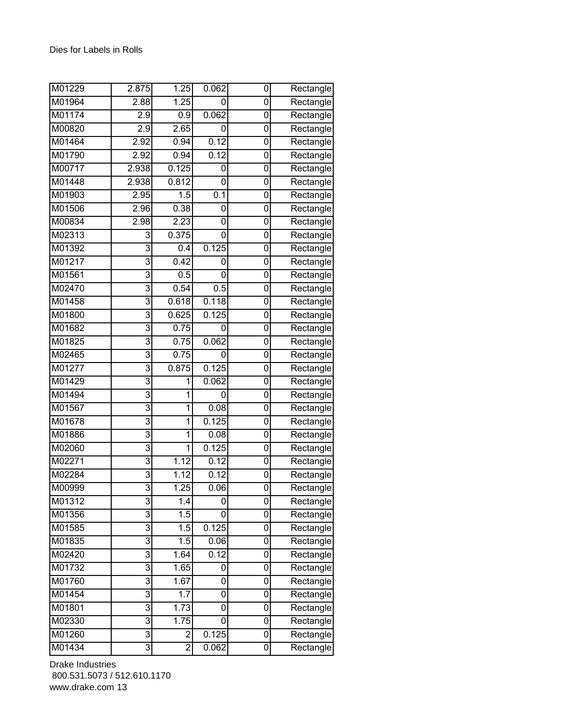| M01229              | 2.875          | 1.25           | 0.062 | 0              | Rectangle                        |
|---------------------|----------------|----------------|-------|----------------|----------------------------------|
| M01964              | 2.88           | 1.25           | 0     | 0              | Rectangle                        |
| M01174              | 2.9            | 0.9            | 0.062 | 0              | Rectangle                        |
| M00820              | 2.9            | 2.65           | 0     | 0              | Rectangle                        |
| M01464              | 2.92           | 0.94           | 0.12  | 0              | Rectangle                        |
| M01790              | 2.92           | 0.94           | 0.12  | 0              | Rectangle                        |
| M00717              | 2.938          | 0.125          | 0     | 0              | Rectangle                        |
| M01448              | 2.938          | 0.812          | 0     | 0              | Rectangle                        |
| M01903              | 2.95           | 1.5            | 0.1   | 0              | Rectangle                        |
| M01506              | 2.96           | 0.38           | 0     | 0              | Rectangle                        |
| M00834              | 2.98           | 2.23           | 0     | 0              | Rectangle                        |
| M02313              | 3              | 0.375          | 0     | 0              | Rectangle                        |
| M01392              | 3              | 0.4            | 0.125 | 0              | Rectangle                        |
| M01217              | 3              | 0.42           | 0     | $\overline{0}$ | Rectangle                        |
| M01561              | 3              | 0.5            | 0     | 0              | Rectangle                        |
| M02470              | 3              | 0.54           | 0.5   | 0              | Rectangle                        |
| M01458              | 3              | 0.618          | 0.118 | 0              | Rectangle                        |
| M01800              | 3              | 0.625          | 0.125 | 0              | Rectangle                        |
| M01682              | 3              | 0.75           | 0     | 0              | Rectangle                        |
| M01825              | 3              | 0.75           | 0.062 | 0              | Rectangle                        |
| M02465              | $\overline{3}$ | 0.75           | 0     | 0              | Rectangle                        |
| M01277              | 3              | 0.875          | 0.125 | 0              | Rectangle                        |
| M01429              | 3              | 1              | 0.062 | 0              | Rectangle                        |
| M01494              | 3              | 1              | 0     | 0              | Rectangle                        |
| M01567              | 3              | 1              | 0.08  | 0              | Rectangle                        |
| M01678              | 3              | 1              | 0.125 | 0              | $\overline{\mathsf{R}}$ ectangle |
| M01886              | 3              | 1              | 0.08  | 0              | Rectangle                        |
| M02060              | 3              | 1              | 0.125 | 0              | Rectangle                        |
| M02271              | $\overline{3}$ | 1.12           | 0.12  | 0              | Rectangle                        |
| M02284              | 3              | 1.12           | 0.12  | 0              | Rectangle                        |
| M00999              | 3              | 1.25           | 0.06  | 0              | Rectangle                        |
| M01312              | 3              | 1.4            | 0     | 0              | Rectangle                        |
| M01356              | 3              | 1.5            | 0     | 0              | Rectangle                        |
| M01585              | 3              | 1.5            | 0.125 | 0              | Rectangle                        |
| M01835              | 3              | 1.5            | 0.06  | $\mathbf 0$    | Rectangle                        |
| $\overline{M02420}$ | 3              | 1.64           | 0.12  | 0              | Rectangle                        |
| M01732              | 3              | 1.65           | 0     | 0              | Rectangle                        |
| M01760              | 3              | 1.67           | 0     | 0              | Rectangle                        |
| M01454              | 3              | 1.7            | 0     | 0              | Rectangle                        |
| M01801              | $\overline{3}$ | 1.73           | 0     | $\overline{0}$ | Rectangle                        |
| M02330              | $\overline{3}$ | 1.75           | 0     | 0              | Rectangle                        |
| M01260              | $\overline{3}$ | $\overline{c}$ | 0.125 | 0              | Rectangle                        |
| M01434              | $\overline{3}$ | $\overline{2}$ | 0.062 | 0              | Rectangle                        |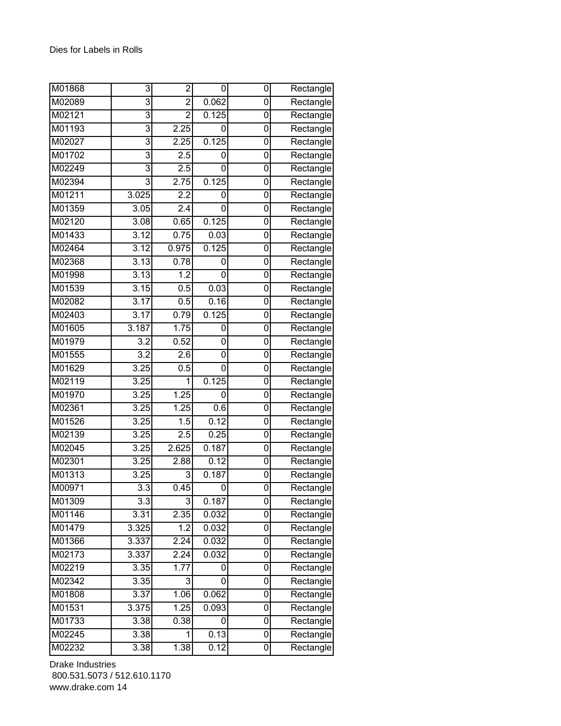| M01868 | 3                | $\overline{c}$   | 0     | 0              | Rectangle |
|--------|------------------|------------------|-------|----------------|-----------|
| M02089 | 3                | $\overline{2}$   | 0.062 | 0              | Rectangle |
| M02121 | $\overline{3}$   | $\overline{2}$   | 0.125 | 0              | Rectangle |
| M01193 | 3                | 2.25             | 0     | 0              | Rectangle |
| M02027 | 3                | 2.25             | 0.125 | 0              | Rectangle |
| M01702 | 3                | 2.5              | 0     | 0              | Rectangle |
| M02249 | $\overline{3}$   | 2.5              | 0     | 0              | Rectangle |
| M02394 | 3                | 2.75             | 0.125 | 0              | Rectangle |
| M01211 | 3.025            | 2.2              | 0     | 0              | Rectangle |
| M01359 | 3.05             | 2.4              | 0     | 0              | Rectangle |
| M02120 | 3.08             | 0.65             | 0.125 | 0              | Rectangle |
| M01433 | 3.12             | 0.75             | 0.03  | 0              | Rectangle |
| M02464 | 3.12             | 0.975            | 0.125 | 0              | Rectangle |
| M02368 | 3.13             | 0.78             | 0     | $\mathbf 0$    | Rectangle |
| M01998 | 3.13             | 1.2              | 0     | 0              | Rectangle |
| M01539 | 3.15             | 0.5              | 0.03  | 0              | Rectangle |
| M02082 | 3.17             | 0.5              | 0.16  | 0              | Rectangle |
| M02403 | 3.17             | 0.79             | 0.125 | 0              | Rectangle |
| M01605 | 3.187            | 1.75             | 0     | 0              | Rectangle |
| M01979 | 3.2              | 0.52             | 0     | 0              | Rectangle |
| M01555 | $\overline{3.2}$ | $\overline{2.6}$ | 0     | 0              | Rectangle |
| M01629 | 3.25             | 0.5              | 0     | 0              | Rectangle |
| M02119 | 3.25             | 1                | 0.125 | 0              | Rectangle |
| M01970 | 3.25             | 1.25             | 0     | 0              | Rectangle |
| M02361 | 3.25             | 1.25             | 0.6   | 0              | Rectangle |
| M01526 | 3.25             | 1.5              | 0.12  | 0              | Rectangle |
| M02139 | 3.25             | 2.5              | 0.25  | 0              | Rectangle |
| M02045 | 3.25             | 2.625            | 0.187 | 0              | Rectangle |
| M02301 | 3.25             | 2.88             | 0.12  | 0              | Rectangle |
| M01313 | 3.25             | 3                | 0.187 | 0              | Rectangle |
| M00971 | $\overline{3.3}$ | 0.45             | 0     | $\overline{0}$ | Rectangle |
| M01309 | 3.3              | 3                | 0.187 | 0              | Rectangle |
| M01146 | 3.31             | 2.35             | 0.032 | 0              | Rectangle |
| M01479 | 3.325            | 1.2              | 0.032 | 0              | Rectangle |
| M01366 | 3.337            | 2.24             | 0.032 | 0              | Rectangle |
| M02173 | 3.337            | 2.24             | 0.032 | 0              | Rectangle |
| M02219 | 3.35             | 1.77             | 0     | 0              | Rectangle |
| M02342 | 3.35             | 3                | 0     | 0              | Rectangle |
| M01808 | 3.37             | 1.06             | 0.062 | 0              | Rectangle |
| M01531 | 3.375            | 1.25             | 0.093 | $\mathbf 0$    | Rectangle |
| M01733 | 3.38             | 0.38             | 0     | 0              | Rectangle |
| M02245 | 3.38             | 1                | 0.13  | 0              | Rectangle |
| M02232 | 3.38             | 1.38             | 0.12  | $\overline{0}$ | Rectangle |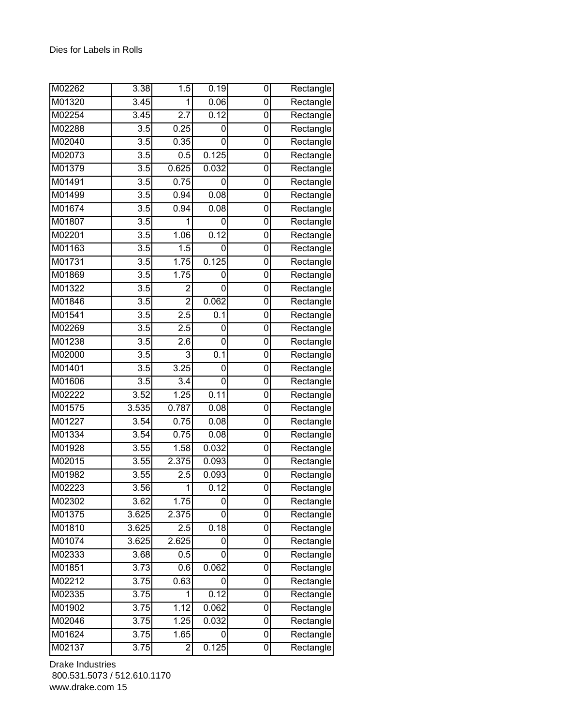| M02262 | 3.38              | 1.5              | 0.19             | 0              | Rectangle                        |
|--------|-------------------|------------------|------------------|----------------|----------------------------------|
| M01320 | $\overline{3.45}$ | 1                | 0.06             | 0              | Rectangle                        |
| M02254 | 3.45              | 2.7              | 0.12             | 0              | Rectangle                        |
| M02288 | $\overline{3.5}$  | 0.25             | 0                | 0              | $\overline{\mathsf{R}}$ ectangle |
| M02040 | 3.5               | 0.35             | 0                | 0              | Rectangle                        |
| M02073 | 3.5               | 0.5              | 0.125            | 0              | Rectangle                        |
| M01379 | $\overline{3.5}$  | 0.625            | 0.032            | 0              | Rectangle                        |
| M01491 | 3.5               | 0.75             | 0                | 0              | Rectangle                        |
| M01499 | 3.5               | 0.94             | 0.08             | 0              | Rectangle                        |
| M01674 | 3.5               | 0.94             | 0.08             | 0              | Rectangle                        |
| M01807 | 3.5               | 1                | 0                | 0              | Rectangle                        |
| M02201 | 3.5               | 1.06             | 0.12             | 0              | Rectangle                        |
| M01163 | 3.5               | 1.5              | 0                | 0              | $\overline{\mathsf{R}}$ ectangle |
| M01731 | $\overline{3.5}$  | 1.75             | 0.125            | $\overline{0}$ | Rectangle                        |
| M01869 | 3.5               | 1.75             | 0                | 0              | Rectangle                        |
| M01322 | 3.5               | $\overline{2}$   | 0                | 0              | Rectangle                        |
| M01846 | 3.5               | $\overline{2}$   | 0.062            | 0              | Rectangle                        |
| M01541 | 3.5               | 2.5              | 0.1              | 0              | Rectangle                        |
| M02269 | $\overline{3.5}$  | $\overline{2.5}$ | 0                | 0              | Rectangle                        |
| M01238 | 3.5               | 2.6              | 0                | 0              | Rectangle                        |
| M02000 | $\overline{3.5}$  | 3                | $\overline{0.1}$ | 0              | Rectangle                        |
| M01401 | 3.5               | 3.25             | 0                | 0              | Rectangle                        |
| M01606 | 3.5               | 3.4              | 0                | 0              | Rectangle                        |
| M02222 | 3.52              | 1.25             | 0.11             | 0              | Rectangle                        |
| M01575 | 3.535             | 0.787            | 0.08             | 0              | Rectangle                        |
| M01227 | 3.54              | 0.75             | 0.08             | 0              | Rectangle                        |
| M01334 | 3.54              | 0.75             | 0.08             | 0              | Rectangle                        |
| M01928 | 3.55              | 1.58             | 0.032            | 0              | Rectangle                        |
| M02015 | 3.55              | 2.375            | 0.093            | 0              | Rectangle                        |
| M01982 | 3.55              | 2.5              | 0.093            | 0              | Rectangle                        |
| M02223 | 3.56              | 1                | 0.12             | 0              | Rectangle                        |
| M02302 | 3.62              | 1.75             | 0                | 0              | Rectangle                        |
| M01375 | 3.625             | 2.375            | 0                | 0              | Rectangle                        |
| M01810 | 3.625             | 2.5              | 0.18             | 0              | Rectangle                        |
| M01074 | 3.625             | 2.625            | 0                | 0              | Rectangle                        |
| M02333 | 3.68              | 0.5              | 0                | 0              | Rectangle                        |
| M01851 | 3.73              | 0.6              | 0.062            | 0              | Rectangle                        |
| M02212 | 3.75              | 0.63             | 0                | 0              | Rectangle                        |
| M02335 | 3.75              | 1                | 0.12             | 0              | Rectangle                        |
| M01902 | 3.75              | 1.12             | 0.062            | 0              | Rectangle                        |
| M02046 | 3.75              | 1.25             | 0.032            | 0              | Rectangle                        |
| M01624 | 3.75              | 1.65             | 0                | 0              | Rectangle                        |
| M02137 | 3.75              | $\overline{c}$   | 0.125            | 0              | Rectangle                        |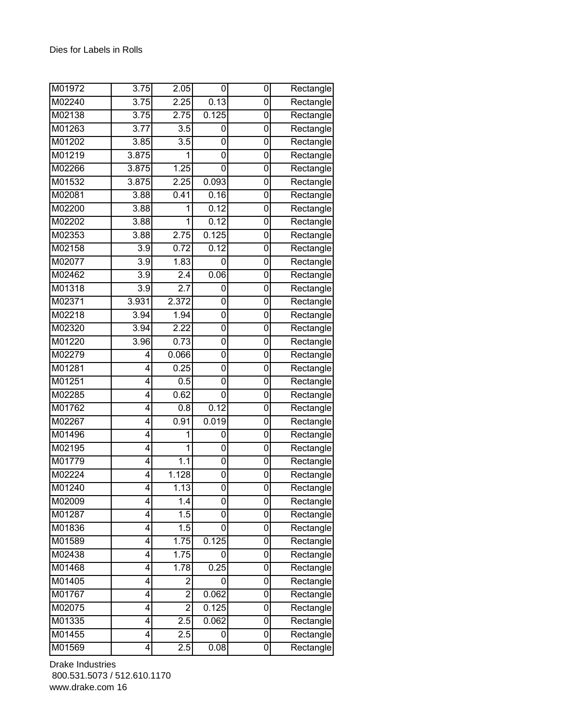| M01972 | 3.75             | 2.05             | 0     | 0 | Rectangle                        |
|--------|------------------|------------------|-------|---|----------------------------------|
| M02240 | 3.75             | 2.25             | 0.13  | 0 | Rectangle                        |
| M02138 | 3.75             | 2.75             | 0.125 | 0 | Rectangle                        |
| M01263 | 3.77             | 3.5              | 0     | 0 | Rectangle                        |
| M01202 | 3.85             | $\overline{3.5}$ | 0     | 0 | Rectangle                        |
| M01219 | 3.875            | 1                | 0     | 0 | Rectangle                        |
| M02266 | 3.875            | 1.25             | 0     | 0 | Rectangle                        |
| M01532 | 3.875            | 2.25             | 0.093 | 0 | Rectangle                        |
| M02081 | 3.88             | 0.41             | 0.16  | 0 | Rectangle                        |
| M02200 | 3.88             | 1                | 0.12  | 0 | Rectangle                        |
| M02202 | 3.88             | 1                | 0.12  | 0 | Rectangle                        |
| M02353 | 3.88             | 2.75             | 0.125 | 0 | Rectangle                        |
| M02158 | 3.9              | 0.72             | 0.12  | 0 | Rectangle                        |
| M02077 | $\overline{3.9}$ | 1.83             | 0     | 0 | Rectangle                        |
| M02462 | 3.9              | 2.4              | 0.06  | 0 | $\overline{\mathsf{R}}$ ectangle |
| M01318 | $\overline{3.9}$ | 2.7              | 0     | 0 | Rectangle                        |
| M02371 | 3.931            | 2.372            | 0     | 0 | $\overline{\mathsf{R}}$ ectangle |
| M02218 | 3.94             | 1.94             | 0     | 0 | Rectangle                        |
| M02320 | 3.94             | 2.22             | 0     | 0 | Rectangle                        |
| M01220 | 3.96             | 0.73             | 0     | 0 | Rectangle                        |
| M02279 | 4                | 0.066            | 0     | 0 | Rectangle                        |
| M01281 | 4                | 0.25             | 0     | 0 | Rectangle                        |
| M01251 | 4                | 0.5              | 0     | 0 | Rectangle                        |
| M02285 | 4                | 0.62             | 0     | 0 | Rectangle                        |
| M01762 | 4                | 0.8              | 0.12  | 0 | Rectangle                        |
| M02267 | 4                | 0.91             | 0.019 | 0 | $\overline{\mathsf{R}}$ ectangle |
| M01496 | 4                | 1                | 0     | 0 | $\overline{\mathsf{R}}$ ectangle |
| M02195 | 4                | 1                | 0     | 0 | Rectangle                        |
| M01779 | 4                | 1.1              | 0     | 0 | Rectangle                        |
| M02224 | 4                | 1.128            | 0     | 0 | Rectangle                        |
| M01240 | 4                | 1.13             | 0     | 0 | Rectangle                        |
| M02009 | 4                | 1.4              | 0     | 0 | Rectangle                        |
| M01287 | 4                | 1.5              | 0     | 0 | Rectangle                        |
| M01836 | 4                | 1.5              | 0     | 0 | Rectangle                        |
| M01589 | 4                | 1.75             | 0.125 | 0 | Rectangle                        |
| M02438 | 4                | 1.75             | 0     | 0 | Rectangle                        |
| M01468 | 4                | 1.78             | 0.25  | 0 | Rectangle                        |
| M01405 | 4                | $\overline{c}$   | 0     | 0 | Rectangle                        |
| M01767 | 4                | $\overline{2}$   | 0.062 | 0 | Rectangle                        |
| M02075 | 4                | $\overline{2}$   | 0.125 | 0 | Rectangle                        |
| M01335 | 4                | 2.5              | 0.062 | 0 | Rectangle                        |
| M01455 | 4                | 2.5              | 0     | 0 | Rectangle                        |
| M01569 | $\overline{4}$   | 2.5              | 0.08  | 0 | Rectangle                        |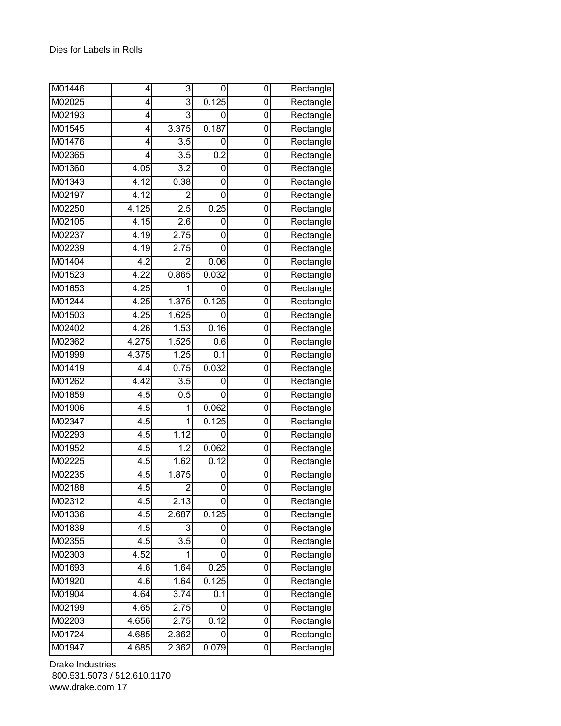| M01446 | 4                | 3                | 0     | 0              | Rectangle                        |
|--------|------------------|------------------|-------|----------------|----------------------------------|
| M02025 | 4                | 3                | 0.125 | 0              | Rectangle                        |
| M02193 | 4                | 3                | 0     | 0              | Rectangle                        |
| M01545 | 4                | 3.375            | 0.187 | 0              | Rectangle                        |
| M01476 | 4                | 3.5              | 0     | 0              | Rectangle                        |
| M02365 | 4                | 3.5              | 0.2   | 0              | Rectangle                        |
| M01360 | 4.05             | $\overline{3.2}$ | 0     | 0              | Rectangle                        |
| M01343 | 4.12             | 0.38             | 0     | 0              | Rectangle                        |
| M02197 | 4.12             | $\overline{2}$   | 0     | 0              | Rectangle                        |
| M02250 | 4.125            | 2.5              | 0.25  | 0              | Rectangle                        |
| M02105 | 4.15             | 2.6              | 0     | 0              | Rectangle                        |
| M02237 | 4.19             | 2.75             | 0     | 0              | Rectangle                        |
| M02239 | 4.19             | 2.75             | 0     | 0              | Rectangle                        |
| M01404 | 4.2              | $\overline{2}$   | 0.06  | $\overline{0}$ | Rectangle                        |
| M01523 | 4.22             | 0.865            | 0.032 | 0              | Rectangle                        |
| M01653 | 4.25             | 1                | 0     | 0              | Rectangle                        |
| M01244 | 4.25             | 1.375            | 0.125 | 0              | Rectangle                        |
| M01503 | 4.25             | 1.625            | 0     | 0              | Rectangle                        |
| M02402 | 4.26             | 1.53             | 0.16  | 0              | Rectangle                        |
| M02362 | 4.275            | 1.525            | 0.6   | 0              | Rectangle                        |
| M01999 | 4.375            | 1.25             | 0.1   | 0              | Rectangle                        |
| M01419 | 4.4              | 0.75             | 0.032 | 0              | Rectangle                        |
| M01262 | 4.42             | 3.5              | 0     | 0              | Rectangle                        |
| M01859 | $\overline{4.5}$ | 0.5              | 0     | 0              | Rectangle                        |
| M01906 | 4.5              | 1                | 0.062 | 0              | Rectangle                        |
| M02347 | 4.5              | 1                | 0.125 | 0              | $\overline{\mathsf{R}}$ ectangle |
| M02293 | 4.5              | 1.12             | 0     | 0              | Rectangle                        |
| M01952 | 4.5              | 1.2              | 0.062 | 0              | Rectangle                        |
| M02225 | 4.5              | 1.62             | 0.12  | 0              | Rectangle                        |
| M02235 | 4.5              | 1.875            | 0     | 0              | Rectangle                        |
| M02188 | 4.5              | 2                | 0     | 0              | Rectangle                        |
| M02312 | 4.5              | 2.13             | 0     | 0              | Rectangle                        |
| M01336 | 4.5              | 2.687            | 0.125 | 0              | Rectangle                        |
| M01839 | 4.5              | 3                | 0     | 0              | Rectangle                        |
| M02355 | 4.5              | $\overline{3.5}$ | 0     | 0              | Rectangle                        |
| M02303 | 4.52             | 1                | 0     | 0              | Rectangle                        |
| M01693 | 4.6              | 1.64             | 0.25  | 0              | Rectangle                        |
| M01920 | $\overline{4.6}$ | 1.64             | 0.125 | 0              | Rectangle                        |
| M01904 | 4.64             | 3.74             | 0.1   | 0              | Rectangle                        |
| M02199 | 4.65             | 2.75             | 0     | 0              | Rectangle                        |
| M02203 | 4.656            | 2.75             | 0.12  | 0              | Rectangle                        |
| M01724 | 4.685            | 2.362            | 0     | 0              | Rectangle                        |
| M01947 | 4.685            | 2.362            | 0.079 | 0              | Rectangle                        |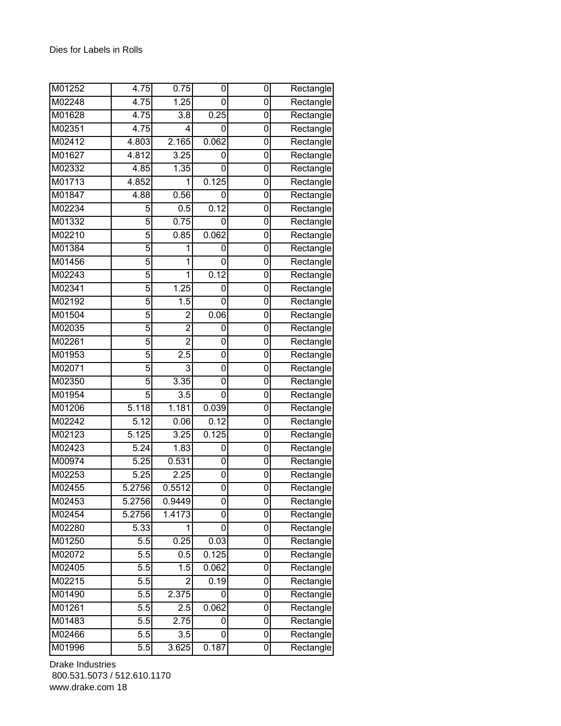| M01252 | 4.75              | 0.75             | 0     | 0              | Rectangle                        |
|--------|-------------------|------------------|-------|----------------|----------------------------------|
| M02248 | 4.75              | 1.25             | 0     | 0              | Rectangle                        |
| M01628 | 4.75              | 3.8              | 0.25  | 0              | Rectangle                        |
| M02351 | 4.75              | 4                | 0     | 0              | Rectangle                        |
| M02412 | 4.803             | 2.165            | 0.062 | 0              | Rectangle                        |
| M01627 | 4.812             | 3.25             | 0     | 0              | Rectangle                        |
| M02332 | 4.85              | 1.35             | 0     | 0              | $\overline{\mathsf{R}}$ ectangle |
| M01713 | 4.852             | 1                | 0.125 | 0              | Rectangle                        |
| M01847 | 4.88              | 0.56             | 0     | 0              | Rectangle                        |
| M02234 | 5                 | 0.5              | 0.12  | 0              | Rectangle                        |
| M01332 | 5                 | 0.75             | 0     | 0              | Rectangle                        |
| M02210 | 5                 | 0.85             | 0.062 | 0              | Rectangle                        |
| M01384 | 5                 | 1                | 0     | 0              | Rectangle                        |
| M01456 | 5                 | 1                | 0     | $\overline{0}$ | Rectangle                        |
| M02243 | 5                 | 1                | 0.12  | 0              | Rectangle                        |
| M02341 | 5                 | 1.25             | 0     | 0              | Rectangle                        |
| M02192 | 5                 | 1.5              | 0     | 0              | Rectangle                        |
| M01504 | 5                 | $\overline{c}$   | 0.06  | 0              | Rectangle                        |
| M02035 | 5                 | $\overline{2}$   | 0     | 0              | Rectangle                        |
| M02261 | 5                 | $\overline{2}$   | 0     | 0              | Rectangle                        |
| M01953 | 5                 | 2.5              | 0     | 0              | Rectangle                        |
| M02071 | 5                 | 3                | 0     | 0              | Rectangle                        |
| M02350 | 5                 | 3.35             | 0     | 0              | Rectangle                        |
| M01954 | 5                 | 3.5              | 0     | 0              | Rectangle                        |
| M01206 | 5.118             | 1.181            | 0.039 | 0              | Rectangle                        |
| M02242 | $\overline{5.12}$ | 0.06             | 0.12  | 0              | $\overline{\mathsf{R}}$ ectangle |
| M02123 | 5.125             | 3.25             | 0.125 | 0              | Rectangle                        |
| M02423 | 5.24              | 1.83             | 0     | 0              | Rectangle                        |
| M00974 | 5.25              | 0.531            | 0     | 0              | Rectangle                        |
| M02253 | $\overline{5.25}$ | 2.25             | 0     | 0              | Rectangle                        |
| M02455 | 5.2756            | 0.5512           | 0     | 0              | Rectangle                        |
| M02453 | 5.2756            | 0.9449           | 0     | 0              | Rectangle                        |
| M02454 | 5.2756            | 1.4173           | 0     | 0              | Rectangle                        |
| M02280 | 5.33              | 1                | 0     | 0              | Rectangle                        |
| M01250 | 5.5               | 0.25             | 0.03  | 0              | Rectangle                        |
| M02072 | 5.5               | 0.5              | 0.125 | 0              | Rectangle                        |
| M02405 | 5.5               | 1.5              | 0.062 | 0              | Rectangle                        |
| M02215 | 5.5               | $\overline{2}$   | 0.19  | 0              | $\overline{\mathsf{R}}$ ectangle |
| M01490 | 5.5               | 2.375            | 0     | 0              | Rectangle                        |
| M01261 | $\overline{5.5}$  | $\overline{2.5}$ | 0.062 | $\overline{0}$ | Rectangle                        |
| M01483 | 5.5               | 2.75             | 0     | 0              | Rectangle                        |
| M02466 | 5.5               | 3.5              | 0     | 0              | Rectangle                        |
| M01996 | 5.5               | 3.625            | 0.187 | 0              | Rectangle                        |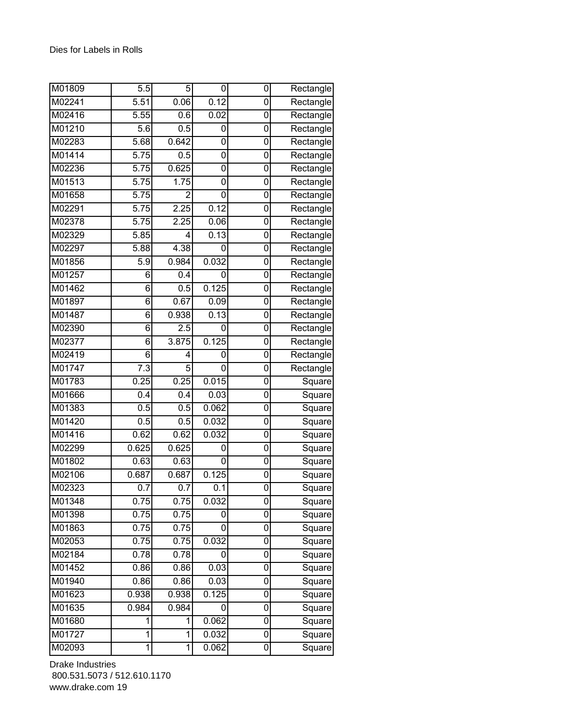| M01809              | $\overline{5.5}$ | 5              | 0                | 0 | Rectangle |
|---------------------|------------------|----------------|------------------|---|-----------|
| M02241              | 5.51             | 0.06           | 0.12             | 0 | Rectangle |
| M02416              | 5.55             | 0.6            | 0.02             | 0 | Rectangle |
| M01210              | 5.6              | 0.5            | 0                | 0 | Rectangle |
| M02283              | 5.68             | 0.642          | 0                | 0 | Rectangle |
| M01414              | 5.75             | 0.5            | 0                | 0 | Rectangle |
| M02236              | 5.75             | 0.625          | 0                | 0 | Rectangle |
| M01513              | 5.75             | 1.75           | 0                | 0 | Rectangle |
| M01658              | 5.75             | $\overline{2}$ | 0                | 0 | Rectangle |
| M02291              | 5.75             | 2.25           | 0.12             | 0 | Rectangle |
| M02378              | 5.75             | 2.25           | 0.06             | 0 | Rectangle |
| M02329              | 5.85             | 4              | 0.13             | 0 | Rectangle |
| M02297              | 5.88             | 4.38           | 0                | 0 | Rectangle |
| M01856              | 5.9              | 0.984          | 0.032            | 0 | Rectangle |
| M01257              | 6                | 0.4            | 0                | 0 | Rectangle |
| M01462              | 6                | 0.5            | 0.125            | 0 | Rectangle |
| M01897              | 6                | 0.67           | 0.09             | 0 | Rectangle |
| M01487              | 6                | 0.938          | 0.13             | 0 | Rectangle |
| M02390              | 6                | 2.5            | 0                | 0 | Rectangle |
| M02377              | 6                | 3.875          | 0.125            | 0 | Rectangle |
| M02419              | 6                | 4              | 0                | 0 | Rectangle |
| M01747              | $\overline{7.3}$ | 5              | 0                | 0 | Rectangle |
| M01783              | 0.25             | 0.25           | 0.015            | 0 | Square    |
| M01666              | 0.4              | 0.4            | 0.03             | 0 | Square    |
| M01383              | 0.5              | 0.5            | 0.062            | 0 | Square    |
| M01420              | 0.5              | 0.5            | 0.032            | 0 | Square    |
| M01416              | 0.62             | 0.62           | 0.032            | 0 | Square    |
| M02299              | 0.625            | 0.625          | 0                | 0 | Square    |
| M01802              | 0.63             | 0.63           | 0                | 0 | Square    |
| M02106              | 0.687            | 0.687          | 0.125            | 0 | Square    |
| M02323              | $\overline{0.7}$ | 0.7            | $\overline{0.1}$ | 0 | Square    |
| M01348              | 0.75             | 0.75           | 0.032            | 0 | Square    |
| M01398              | 0.75             | 0.75           | 0                | 0 | Square    |
| M01863              | 0.75             | 0.75           | 0                | 0 | Square    |
| M02053              | 0.75             | 0.75           | 0.032            | 0 | Square    |
| M02184              | 0.78             | 0.78           | 0                | 0 | Square    |
| M01452              | 0.86             | 0.86           | 0.03             | 0 | Square    |
| M01940              | 0.86             | 0.86           | 0.03             | 0 | Square    |
| M01623              | 0.938            | 0.938          | 0.125            | 0 | Square    |
| $\overline{M01635}$ | 0.984            | 0.984          | 0                | 0 | Square    |
| M01680              | 1                | 1              | 0.062            | 0 | Square    |
| M01727              | 1                | 1              | 0.032            | 0 | Square    |
| M02093              | 1                | 1              | 0.062            | 0 | Square    |